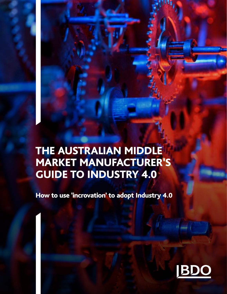# THE AUSTRALIAN MIDDLE MARKET MANUFACTURER'S GUIDE TO INDUSTRY 4.0

How to use 'incrovation' to adopt Industry 4.0

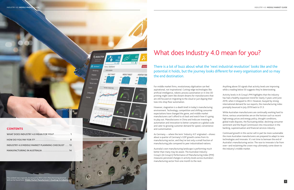# What does Industry 4.0 mean for you?

There is a lot of buzz about what the 'next industrial revolution' looks like and the the end destination.

# potential it holds, but the journey looks different for every organisation and so may

For middle market firms, revolutionary digitisation can feel aspirational, not inspirational. Cutting-edge technologies like artificial intelligence, robotic process automation or in-line 3D printing might seem like distant dreams for manufacturers that are still focused on migrating to the cloud or just dipping their toes into shop floor automation.

However, stagnation is a death knell in today's manufacturing environment. Technology, competition and shifting consumer expectations have changed the game, and middle market manufacturers can't afford to sit back and watch how it's going to play out. Manufacturers in China and India are investing in automation and innovation to better compete on a global scale and cater to growing customer demand for speed, convenience and customisation.

As Germany — where the term 'Industry 4.0' originated —shows: about a quarter of Germany's GDP growth comes from its manufacturing sector, and they've lost only a small fraction of manufacturing jobs compared to peer industrialised nations.

Australia's own manufacturing landscape is performing much better than many may be aware. The Australian Industry Group's (Ai Group's) Performance of Manufacturing Index (PMI) measures perceived changes in activity levels across Australia's manufacturing sector from one month to the next.

#### **CONTENTS**

Anything above 50 signals that activity levels are improving while a reading below 50 suggests they're deteriorating.

Activity levels in Ai Group's PMI highlights that the industry has had a healthy expansion trend for nearly 3 years until June 2019, when it dropped to 49.4. However, buoyed by strong international demand for our exports, the manufacturing index promptly bounced in July 2019 back to 51.3.

While Australian manufacturers are continually working hard to thrive, various uncertainties are on the horizon such as recent high energy prices and energy policy, drought conditions, global trade disputes, the fluctuating dollar, declining consumer sentiment and the Royal Commission into misconduct in the banking, superannuation and financial services industry.

Continued growth in this sector will in part be more sustainable the more Australian manufacturers are prepared to adapt to new technologies and innovate. It's not time to bemoan the end of Australia's manufacturing sector. The race to innovate is far from over—and reclaiming the crown may ultimately come down to the industry's middle market.

This content was originally developed by BDO USA's Manufacturing practice and can be found here: **[Middle Market Manufacturer's Roadmap to Industry 4.0](https://www.bdo.com/insights/industries/manufacturing-distribution/the-middle-market-manufacturer-s-roadmap-to-in-(1)/the-middle-market-manufacturer-s-roadmap-to-indust) <sup>1</sup>**



| WHAT DOES INDUSTRY 4.0 MEAN FOR YOU? 1           |
|--------------------------------------------------|
|                                                  |
| INDUSTRY 4.0 MIDDLE MARKET PLANNING CHECKLIST 13 |
| MANUFACTURING IN AUSTRALIA  14                   |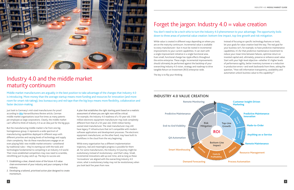### You don't need to be a tech whiz to turn the Industry 4.0 phenomenon to your advantage. The opportunity boils down to three areas of potential value creation: bottom-line impact, top-line growth and risk mitigation.

While value is created in different ways depending on where you are on the maturity continuum. Incremental value is available to every manufacturer—but it must be rooted in incremental improvements to your current capabilities. It can start with a single improvement initiative in a single functional area. Even small, functional change has ripple effects throughout the entire enterprise. These single, incremental improvements should ultimately be performed against the backdrop of your overarching Industry 4.0 vision, strategy and roadmap to drive tangible Return on Investment (ROI) enterprise-wide.

The key is to flip your thinking.

Instead of focusing on specific technology features or tools, let your goals for value creation lead the way. The real goal for your business isn't, for example, to have predictive maintenance capabilities; it's for that predictive maintenance investment to reduce your mean time between failures, optimise return on invested capital and, ultimately, preserve or enhance asset value. Start with your high-level objective—whether it's higher levels of performance agility, better inventory turnover or a reduction in production errors—and work backwards from there, asking the question, "How will information transparency, availability and automation unlock business value to this capability?"



# Industry 4.0 and the middle market maturity continuum

Middle market manufacturers are arguably in the best position to take advantage of the changes that Industry 4.0 is introducing. More money than the average startup means more funding and resources for innovation (and more room for smart risk-taking); less bureaucracy and red tape than the big boys means more flexibility, collaboration and faster decision-making.

Just look to Germany's mid-sized manufacturers for proof: according to **[this](https://hbr.org/2017/05/why-germany-still-has-so-many-middle-class-manufacturing-jobs)** *Harvard Business Review* article, German middle market organisations issue five times as many patents per employee as large corporations. Clearly, the middle market can't afford to think of Industry 4.0 as an idea just for the big guys.

But the manufacturing middle market is far from one big homogeneous group; it represents a wide spectrum of manufacturing capabilities deployed in different ways with different priorities and varying levels of technology and supply chain complexity. Nor do these manufacturers engage on an even playing field: new middle market entrants—untethered by traditional rules— they're starting out with the tools and technologies fundamental to competing in an Industry 4.0 world. Their more established competitors may now need to scramble, retrofitting just to play catch up. The keys to success are:

- 1. Establishing a clear, shared vision of the future 4.0 value chain environment of your industry and your company in that industry.
- 2. Developing a tailored, prioritised action plan designed to create momentum.

A plan that establishes the right starting point based on a realistic assessment of where you are right now will be critical. For example, the Industry 4.0 readiness of a 10-year-old, \$100 million electronic equipment manufacturer may look completely different from that of a 50-year-old, \$500 million familyowned steel manufacturer. The steel manufacturer may still have legacy IT infrastructure that isn't compatible with modern software applications and development processes. The electronic equipment manufacturer, on the other hand, may have built its workflows in the cloud from the very beginning.

While every organisation has a different implementation trajectory, real and meaningful progress is possible for them all. For some manufacturers, the Industry 4.0 journey might be evolutionary instead of revolutionary—and that's okay. Small, incremental innovations add up over time, and as long as these 'incrovations' are aligned with the overarching Industry 4.0 vision, what is evolutionary today may not be revolutionary when you look back five years from now.

# Forget the jargon: Industry  $4.0$  = value creation

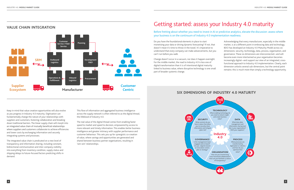#### Keep in mind that value creation opportunities will also evolve as you progress in Industry 4.0 maturity. Digitisation can fundamentally change the nature of your relationships with suppliers and customers, fostering collaboration and breaking down traditional barriers. The linear supply chain will morph into an integrated value chain of mutually beneficial relationships where suppliers and customers collaborate to achieve efficiencies and lower costs by exchanging information and securely integrating systems and processes.

The integrated value chain is predicated on a new level of transparency and information sharing, including constant, bidirectional communication and inter-company visibility into everything from inventory condition, supply status and shipping delays to future-focused factors predicting shifts in demand.

#### **VALUE CHAIN INTEGRATION Customer Planning Service / Field Service SRM Outbound Development Logistics R&D Operations & Procurement Inbound Fulfillment Logistics Supplier Customer**  $\frac{1}{\sqrt{2}}$ D **Ecosystem Manufacturer Centric**

This flow of information and aggregated business intelligence across the supply network is often referred to as the digital thread, the lifeblood of Industry 4.0.

The real value of the digital thread comes from enabling faster speed to market and speed to decision, empowered by access to more relevant and timely information. This enables better business intelligence and greater intimacy with supplier performance and customer behaviour. This sets you up for synergistic co-creation of value, where savings and opportunities are generated and shared between business partner organisations, resulting in 'win-win' relationships.

# Getting started: assess your Industry 4.0 maturity

What does data management and information sharing look like in your organisation? With your suppliers?

#### **PROCESS**

### Before fretting about whether you need to invest in AI or predictive analytics, elevate the discussion: assess where your business is on the continuum of Industry 4.0 implementation readiness.

Do you have the foundational elements in place to start monetising your data or driving dynamic forecasting? If not, that doesn't mean it's time to throw in the towel. It's imperative to understand that *every* company can make advancements, but you can't run before you walk.

Change doesn't occur in a vacuum, nor does it happen overnight. For the middle market, the road to Industry 4.0 is less one of digital transformation than it is of intentional digital maturity linked to business value, where disruptive technology is one small part of broader systemic change.

Acknowledging that every manufacturer, especially in the middle market, is at a different point in embracing data and technology, BDO has developed an Industry 4.0 Maturity Model across six dimensions: security, technology, data, process, organisation, and governance. These six dimensions are interconnected—and will become even more intertwined as your organisation becomes increasingly digital—and support our view of an integrated, crossfunctional approach to Industry 4.0 implementation. Clearly, each dimension unlocks several sub-dimensions, but the central point remains: this is much more than simply a technology opportunity.

## **TECHNOLOGY**

# **SIX DIMENSIONS OF INDUSTRY 4.0 MATURITY**

**4.0**

How are you incentivising cross-functional collaboration? How can you facilitate a culture of transparency?



What enabling technology do you need to unlock insight and create business value?



#### DATA

What processes are transformed by digitisation or robotics and how do you optimize their value?

#### **ORGANISATION**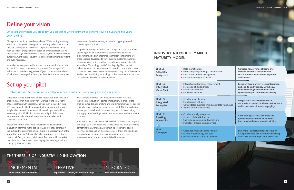# Define your vision

Once you know where you are today, you can define where you want to be tomorrow, next year and five years down the line.

Change is unpredictable and rarely linear. While setting a strategic vision can point you in the right direction, any milestones you set that are contingent on the success of prior achievements may need to shift or change entirely based on empirical feedback. As the external digital environment evolves, so, too, may your desired outcomes. Continuous Industry 4.0 strategy refinement is prudent and even necessary.

Instead of focusing on specific features or tools, define your vision and set KPIs based on value to the business. The end-goal of Industry 4.0 isn't flash. Regardless of your current maturity level, it's all about creating value from your data. Prioritise Industry 4.0

investments based on where you see the biggest gaps and greatest opportunities.

A significant catalyst to Industry 4.0 adoption is the consumertechnology-driven evolution of customer behaviours and expectations. The best enterprise technology innovations are those that are developed to solve existing customer challenges or provide your business with a competitive advantage to better serve them. Technology that is 'bleeding edge' but doesn't deliver value to the customer—or its benefits come at the cost of something else the customer values—won't truly move the needle. Rather than retrofitting technology to the customer, the customer can help your leaders set value priorities.

# Set up your pilot

#### Iterative, incremental innovation in small pilots enables faster decision-making and implementation.

Once upon a time, Facebook's official motto was 'move fast and break things.' That motto may have worked in the early years of Facebook's growth trajectory and was even included in their IPO paperwork. By 2014, however, that philosophy of throwing spaghetti at the wall to see what sticks no longer worked for a company with \$2.5 billion in revenue. In April of that year, Facebook officially adopted a new motto: 'move fast with stable infra[structure].'

Facebook's shift in philosophy reflects the middle market's innovation dilemma: fail to act quickly, and you fall behind; act too fast, and you risk messing up. Failure is a necessary part of the innovation process. But to make failure profitable, you not only need to fail *fast*, you need to fail *smart*. For most middle market manufacturers, that means dreaming big, but starting small and scaling up what works fast.

That's where the three I's of innovation come in. Iterative, incremental innovation - coined 'incrovation,' in small pilots enables faster decision-making and implementation, as well as the ability to adapt or change course at any point. Think of each pilot as an experimental sandbox, where the goal is to learn quickly and apply those learnings to the next experiment and/or scale the solution.

Your Industry 4.0 plan needs to have built-in flexibility to respond and adapt to real feedback and results. Once you have discovered something that works well, you must be prepared to absorb, integrate and expand on these successes without the traditional organisational friction—bureaucracy, politics and change aversion—that's common in established businesses.



## **INDUSTRY 4.0 MIDDLE MARKET MATURITY MODEL**

| <b>LEVEL 5</b><br>Adaptable<br>Ecosystem               | $\blacktriangleright$ Data monetisation<br>Inter-company planning & collaboration<br>▶ End-to-end process management<br>Prescriptive analytics/robotics                    | Consider new revenue streams and<br>increase collaboration and value<br>co-creation with customers, suppliers<br>and vendors                                      |
|--------------------------------------------------------|----------------------------------------------------------------------------------------------------------------------------------------------------------------------------|-------------------------------------------------------------------------------------------------------------------------------------------------------------------|
| <b>LEVEL 4</b><br>Integrated<br><b>Value Chain</b>     | Integrated performance management<br>Formation of digital thread<br>Process automation<br>$\blacktriangleright$ Predictive analytics                                       | Focus on third-party systems integration<br>and end-to-end visibility, with heavy<br>consideration given to controls and<br>cybersecurity for information sharing |
| <b>LEVEL 3</b><br>Integrated<br><b>Enterprise</b>      | $\triangleright$ Collaborative planning<br>Standardised ERP suite<br>Consolidated business intelligence/data warehouse<br>$\blacktriangleright$ Vendor information sharing | Integrate data with operations to<br>automate processes, optimise performance<br>and improve decision-making agility                                              |
| <b>LEVEL 2</b><br><b>Breaking</b><br><b>Down Silos</b> | $\triangleright$ Collaboration by exception<br>▶ Connected data & devices<br>> Share data upstream or downstream<br>▶ Pockets of process-level analytics                   | <b>Connect disparate data sources and</b><br>operational systems to enable cross-<br>functional collaboration and visibility                                      |
| <b>IFVEL1</b><br><b>Stovepipe</b>                      | • Organisational and operational silos<br>Islands of technology and data<br>Manual and non-standard processes                                                              | <b>Explore IoT opportunities and focus on</b><br>data governance and information sharing<br>across the critical, high value processes                             |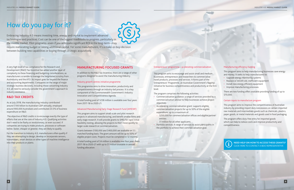# <span id="page-5-0"></span>How do you pay for it?

Embracing Industry 4.0 means investing time, energy and capital to implement advanced technologies and practices. Cost can be one of the biggest roadblocks to progress, particularly in the middle market. Pilot programs—even if you anticipate significant ROI in the long-term—may require reallocating budget or raising additional capital. For some manufacturers, it's a make-or-buy-decision between building new capabilities or buying through strategic acquisitions.

A very high level of tax compliance for the Research and Development (R&D) Tax Incentive has added another layer of complexity to these financing and budgeting considerations, as manufacturers scramble to manage the heightened scrutiny from AusIndustry and the ATO. Its impact goes far beyond the finance and accounting departments. Companies on the verge of major strategic business decisions, including those concerning Industry 4.0, all need to seriously consider the government's approach to industry assistance.

For the transition to Industry 4.0, manufacturers often qualify if they are attempting to design, develop or incorporate sensors, transmitters, smart devices or other types of machine intelligence into their products or plants.

### **R&D TAX CREDITS**

As at July 2018, the manufacturing industry contributed around \$100 billion to Australian GDP annually, employed around 900,000 Australians and contributed 23.5% of business expenditure on R&D.

 The objective of R&D credits is to encourage exactly the type of efforts that are at the core of Industry 4.0. Qualifying activities don't need to be flashy or revolutionary, or even succeed. If companies are trying to make products, processes or software better, faster, cheaper or greener, they are likely to qualify.

### **MANUFACTURING FOCUSED GRANTS**

In addition to the R&D Tax Incentive, there are a range of other programs designed to assist the manufacturing industry.

#### Industry growth centres initiative programme

This programme aims to drive innovation, productivity and competitiveness through an industry-led process. It is a key component of the Commonwealth Government's Industry Innovation and Competitiveness Agenda.

A total funding pool of \$238 million is available over four years from 2017-18 to 2020-21.

#### Advanced Manufacturing Early Stage Research Fund (AMESRF)

This program aims to support small-scale and pilot research projects in advanced manufacturing, and benefit smaller firms and early stage research. It will provide grants to SMEs for rapid initial feasibility testing, allowing the projects to then move quickly to larger-scale research or commercialisation.

Grants between \$100,000 and \$400,000 are available on 1:1 matched funding basis. The grant amount will be up to 50% of eligible project costs. Projects must be completed in 12 months.

A total funding pool of \$4 million is available over four years from 2017-18 to 2020-21 with up to \$1 million available in annual funding allocation.

#### Entrepreneurs' programme – accelerating commercialisation

This program aims to encourage and assist small and medium businesses, entrepreneurs and researchers to commercialise novel products, processes and services. It forms part of the Entrepreneurs' Programme, an Australian Government's flagship initiative for business competitiveness and productivity at the firm level.

The program comprises the following activities:

- Commercialisation guidance: a range of services provided by a commercialisation advisor to help businesses achieve project objectives.
- Accelerating commercialisation grant: supports eligible commercialisation projects for up to 50% of the eligible expenditure, up to a maximum of:
- \$250,000 for commercialisation offices and eligible partner entities
- \$1 million for all other applicants.
- Portfolio services: A range of services to assist participants in the portfolio to achieve their commercialisation goal.

#### Manufacturing efficiency funding

This program aims to help manufacturing businesses save energy and money. It seeks to help manufacturers to:

- Upgrade energy monitoring systems
- Replace or retrofit old, inefficient equipment
- Install new energy efficient equipment
- Improve manufacturing processes.

There are two funding offers available providing funding of up to \$70,000.

#### Certain inputs to manufacture program

This program aims to improve the competitiveness of Australian industry by providing import duty concessions on certain imported raw materials and intermediate goods such as chemicals, plastics, paper goods, or metal materials and goods used in food packaging.

The program offers duty-free entry for imported goods which can help to reduce costs and improve productivity and competitiveness.



**[NEED HELP ON HOW TO ACCESS THESE GRANTS?](https://www.bdo.com.au/en-au/our-people?servicearea=15614#main_content)**  CLICK HERE TO CONTACT A BDO REPRESENTATIVE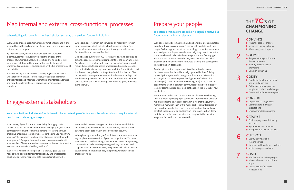# Map internal and external cross-functional processes

# Engage external stakeholders

#### When dealing with complex, multi-stakeholder systems, change doesn't occur in isolation.

Every action triggers a reaction, meaning functional change in one area will have effects elsewhere in the network—some of which may not be expected or good.

By the same token, the interoperability (or lack thereof) of external systems or inputs may impact the efficacy of the proposed functional change. As a result, an end-to-end process view of any solution will help you both mitigate the risk of unintended consequences and capitalise on the full process value of that solution.

For any Industry 4.0 initiative to succeed, organisations need to understand how systems information, processes and external entities interact and interface, where there are interdependencies, and how these elements cross borders and organisational boundaries.

While each pilot iteration can be worked on modularly—broken down into independent tasks to allow for concurrent progress on interdependent areas—testing must always consider crossfunctional interactions and feedback.

Going back to our Industry 4.0 Maturity Model, think about all six dimensions as interdependent components of the planning process. Any change in technology will have corresponding implications for required data inputs, connected processes and security protocols, thus potentially introducing new vulnerabilities. The ability to enact the desired change is also contingent on how it is rolled out. Your Industry 4.0 roadmap should account for these relationships both within your organisation and across the boundaries with external entities, and test each initiative against them, adapting as needed along the way.

Your organisation's Industry 4.0 initiative will likely create ripple effects across the value chain and require external process and technology changes.

For example, if your focus is on traceability for supply chain resilience, do you include mandates on RFID tagging in your vendor contracts? If you want to improve demand forecasting through predictive analytics, do you have access to the data you need from your top 100 customers—and are their platforms compatible with your systems? Can your information systems communicate with your suppliers'? Equally important, can your customers' information systems communicate effectively with you?

# THE 7**C**'S OF CHAMPIONING **CHANGE**

Even if total value chain integration is a faraway goal, you still need to think about external interoperability and processes for collaboration. Sharing sensitive data to an external network is

easier said than done. Doing so requires a fundamental shift in relationships between suppliers and customers, and raises new questions about data privacy and information security.

- $\blacktriangleright$  Monitor and report on progress
- $\blacktriangleright$  Measure business and cultural impact
- $\blacktriangleright$  Create a cross-functional feedback loop

When planning your Industry 4.0 evolution, you should view your key suppliers as an extension of your own organisation. You may even want to consider inviting these external parties into planning conversations. Collaborative planning with key customers and suppliers early on in your Industry 4.0 journey will help accelerate solution implementation and lay the groundwork for secure cocreation of value.

# Prepare your people

Too often, organisations embark on a digital initiative but forget about the human element.

Even as processes become automated and artificial intelligence takes over data-driven decision-making, change still needs to start with people. Technology for the sake of technology is a wasted investment; you need your employees to understand why they need to leave the status quo behind, believe in the strategic vision and feel engaged in the process. Most importantly, they need to understand what's expected of them and have the resources, training and development to get to the new destination.

Another piece of the people puzzle is collaboration between functional areas that have historically operated in silos. Building cyber-physical systems that integrate software and information with physical processes requires the alignment of information technology (IT) with operations technology (OT). If the IT and OT departments aren't in constant communication and committed to learning together, it can become a bottleneck in the roll-out of new capabilities.

In some ways, Industry 4.0 is less about revolutionary technology than it is about a philosophy of continuous improvement, and that mindset is integral to success, bearing in mind that the journey is more like a marathon than a 100-metre dash. The hardest piece of this transition may be fostering a corporate culture that embraces constant experimentation and learning—one in which short-term mistakes and failures are expected and accepted in the pursuit of long-term innovation and value creation.

### **C**ONVINCE

◀

3

4

5

6

- $\blacktriangleright$  Make the case for change
- $\blacktriangleright$  Scope the change initiative
- $\blacktriangleright$  Win management support

### **C**OMMIT

- $\triangleright$  Set your strategic vision and desired outcomes
- $\blacktriangleright$  Identify internal change champions
- $\blacktriangleright$  Establish ownership

### **C**ODIFY

- $\blacktriangleright$  Conduct a baseline assessment and identify barriers
- $\blacktriangleright$  Define operational, process, people and behavioural changes
- $\blacktriangleright$  Create an implementation plan

### **C**ONVERT

- $\blacktriangleright$  Lay out the strategic vision
- $\blacktriangleright$  Communicate individual expectations
- $\blacktriangleright$  Empower middle managers

### **C**ATALYSE

- $\blacktriangleright$  Equip employees with training and tools
- $\blacktriangleright$  Systematise reinforcement
- $\blacktriangleright$  Recognise and reward the wins

### **C**ULTIVATE

- $\blacktriangleright$  Clarify new roles and responsibilities
- $\blacktriangleright$  Develop and train for new skillsets
- $\blacktriangleright$  Invite employee feedback

## **C**HART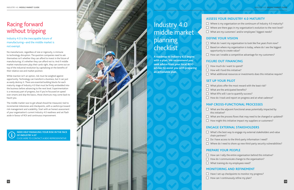# <span id="page-7-0"></span>Racing forward without tripping

Industry 4.0 is the inescapable future of manufacturing—and the middle market is not exempt.

No manufacturer, regardless of size or ingenuity, is immune to technology disruption. The question companies need to ask themselves isn't whether they can afford to invest in the future of manufacturing; it's whether they can afford not to. And if middle market manufacturers play their cards right, they can come out on top of the industrial revolution by capitalising on the benefits of their relative size and market position.

 $\Box$  Where is my organisation on the continuum of Industry 4.0 maturity?  $\Box$  Where are there gaps in my organisation's evolution to the next level? What are my customers' and/or employees' biggest needs?

While inaction isn't an option, risk must be weighed against opportunity. Technology can transform a business, but it can just as easily destroy it. There are essential building blocks for each maturity stage of Industry 4.0 that must be firmly embedded into the business before advancing to the next level. Experimentation is a necessary part of progress, but if you're focussed on speed over smarts and skip the basics, those shortcuts may come back to haunt you.

- 
- 
- 
- 
- $\Box$  What do I want my organisation to look like five years from now?  $\Box$  Based on where my organisation is today, where do I see the biggest opportunity to create value?
- 

The middle market race to get ahead should be measured, tied to incremental milestones and checkpoints, with a careful eye toward risk management and scalability. Start with an honest assessment of your organisation's current Industry 4.0 readiness and set flash aside in favour of ROI and continuous improvement.

### **ASSESS YOUR INDUSTRY 4.0 MATURITY**

### **DEFINE YOUR VISION**

- $\Box$  How can I enable a competitive advantage for my customers?
- $\Box$  How much do I want to spend?
- $\Box$  How will I fund this initiative?
- $\Box$  What additional resources or investments does this initiative require?

### **FIGURE OUT FINANCING**

- 
- 
- 

- 
- 
- $\Box$  What KPIs will I use to quantify success?
- 

- 
- 
- $\Box$  What are the process flows that may need to be changed or updated?  $\Box$  How might this initiative impact my suppliers or customers?

### **SET UP YOUR PILOT**

- $\Box$  What pilots offer the most reward with the least risk?
- $\Box$  What are the anticipated benefits?
- $\Box$  How do I track and report on progress and at what cadence?

### **MAP CROSS-FUNCTIONAL PROCESSES**

- $\Box$  What are the adjacent functional areas potentially impacted by this initiative?
- $\Box$  What's the best way to engage my external stakeholders and value chain partners?
- $\Box$  Do I have access to the third-party information I need?
- $\Box$  Where do I need to shore up new third-party security vulnerabilities?
- $\Box$  How can I rally the entire organisation behind this initiative?
- $\Box$  How do I communicate change to the organisation?
- $\Box$  What training do my employees need?
- $\Box$  Have I set-up checkpoints to monitor my progress?
- $\Box$  How can I continuously refine my plan?

### **ENGAGE EXTERNAL STAKEHOLDERS**

- 
- 

## **PREPARE YOUR PEOPLE**

- 
- 
- 

# Industry 4.0 middle market planning checklist

**[NEED HELP MANAGING YOUR RISK IN THE FACE](https://www.bdo.com.au/en-au/industries/manufacturing-wholesale/industry-4-0)  OF INDUSTRY 4.0?**  CLICK HERE TO CONTACT A BDO REPRESENTATIVE



**A roadmap to Industry 4.0 begins with a plan. We recommend you seek advice from your local BDO adviser to assist you with preparing an actionable plan.**

## **MONITORING AND REFINEMENT**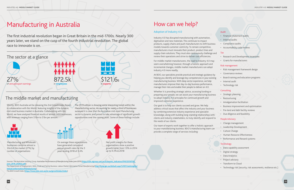Shortly, BDO Australia wil be releasing the 2nd *Growth Index Report*, in collaboration with Ibis World, featuring insights of the dynamic mid-sized business market in Australia. Collaborating with Ibis World, we have analysed financial results of almost 1400 businesses, with revenues ranging from \$10m to \$1bn per annum.

The 2019 edition is showing some interesting trends within the Manufacturing sector. Accounting for nearly a third of businesses surveyed it is clear that the Australian mid-sized Manufactuing sector is dynamic and poised to take advantage of significant growth opportunities over the coming years. Some of these findings include:



# How can we help?

### Adoption of Industry 4.0

Industry 4.0 has disrupted manufacturing with automation, digitisation and new materials. This continues to impact products, supply chains and push manufacturers to shift business models towards customer-centricity. To remain competitive, manufacturers must innovate their product, product lines and supply chain solutions. They must also continuously challenge and review their operations and strive to deliver cost efficiencies.

For middle-market manufacturers, the road to Industry 4.0 may seem overwhelming however, through a holistic approach and incremental changes, middle market manufacturers can adopt industry 4.0 more readily.

At BDO, our specialists provide practical and strategic guidance by helping you identify and leverage key competencies in your existing manufacturing business. With deep sector experience, we help manufacturers improve their day-to-day business performance, manage their risks and enable their people to deliver on 4.0.

Whether it is providing strategic advice, accessing funding or preparing your people; we can assist your manufacturing business to adopt Industry 4.0 principles for continued growth and improved customer experience.

Sources: The Australian Industry Group: *Australian Performance of Manufacturing Index June 2019 (***[https://cdn.aigroup.com.au/Economic\\_Indicators/PMI/2019/PMI\\_](https://cdn.aigroup.com.au/Economic_Indicators/PMI/2019/PMI_June_2019_24203s.pdf) [June\\_2019\\_24203s.pdf](https://cdn.aigroup.com.au/Economic_Indicators/PMI/2019/PMI_June_2019_24203s.pdf)***);*  The Department of Employment, Skills, Small and Family Business: *Labour Market Information Portal Manufacturing* (http://lmip.gov.au/default.aspx?LMIP/GainI

Our goal is to help our clients succeed and grow. We help address critical issues that affect the industry and your business by combining extensive industry experience and specialist knowledge; along with building long-standing relationships with clients and industry stakeholders, to truly identify and respond to the needs of our clients.

Our team of experts work together to offer a holistic approach to your manufacturing business. BDO's manufacturing team can provide a complete range of services including:

#### Audit

- Financial Statement audits
- Internal audits
- Compliance audits
- Accountability code reviews

#### Tax

- Research and Development Incentives
- Grants for manufacturers

#### Risk management

- Risk management framework design
- Governance reviews
- Board training and education programs
- Internal audit
- Technology risk

#### **Consulting**

- Strategic planning
- Restructuring
- Amalgamation facilitation
- Business improvement and optimisation
- Pre-lend and debt facility reviews
- Due diligence and feasibility

#### People Advisory

- Change management
- Leadership Development
- Culture Change
- Human Resource Effectiveness
- Performance and Reward systems

#### **Technology**

- Data capability assessment
- Digital strategy
- Data Analytics
- Project advisory
- Transform to Cloud
- Technology risk (security, risk assessments, resilience etc.)

# <span id="page-8-0"></span>Manufacturing in Australia

The first industrial revolution began in Great Britain in the mid-1700s. Nearly 300 years later, we stand on the cusp of the fourth industrial revolution. The global race to innovate is on.

> Net profit margins for these organisations show a positive growth trend, from 1.9% in 2014 up to 4.3% in 2018

On average these organisations have generated compound annual growth rates for the 3 years ending 2018 of 3.4%

# The middle market and manufacturing



**[IndustryInformation/Manufacturing](http://lmip.gov.au/default.aspx?LMIP/GainInsights/IndustryInformation/Manufacturing)**); The *BDO Growth Index* (**<https://www.bdo.com.au/en-au/growthindex/index>**)

Manufacturing and Wholesale businesses comprise almost a third of the market (27%) by number of organisations